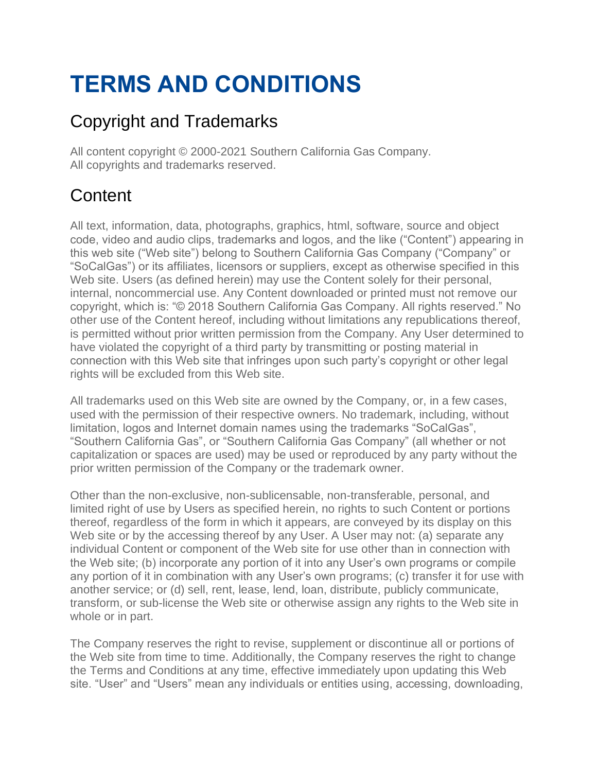# **TERMS AND CONDITIONS**

# Copyright and Trademarks

All content copyright © 2000-2021 Southern California Gas Company. All copyrights and trademarks reserved.

# **Content**

All text, information, data, photographs, graphics, html, software, source and object code, video and audio clips, trademarks and logos, and the like ("Content") appearing in this web site ("Web site") belong to Southern California Gas Company ("Company" or "SoCalGas") or its affiliates, licensors or suppliers, except as otherwise specified in this Web site. Users (as defined herein) may use the Content solely for their personal, internal, noncommercial use. Any Content downloaded or printed must not remove our copyright, which is: "© 2018 Southern California Gas Company. All rights reserved." No other use of the Content hereof, including without limitations any republications thereof, is permitted without prior written permission from the Company. Any User determined to have violated the copyright of a third party by transmitting or posting material in connection with this Web site that infringes upon such party's copyright or other legal rights will be excluded from this Web site.

All trademarks used on this Web site are owned by the Company, or, in a few cases, used with the permission of their respective owners. No trademark, including, without limitation, logos and Internet domain names using the trademarks "SoCalGas", "Southern California Gas", or "Southern California Gas Company" (all whether or not capitalization or spaces are used) may be used or reproduced by any party without the prior written permission of the Company or the trademark owner.

Other than the non-exclusive, non-sublicensable, non-transferable, personal, and limited right of use by Users as specified herein, no rights to such Content or portions thereof, regardless of the form in which it appears, are conveyed by its display on this Web site or by the accessing thereof by any User. A User may not: (a) separate any individual Content or component of the Web site for use other than in connection with the Web site; (b) incorporate any portion of it into any User's own programs or compile any portion of it in combination with any User's own programs; (c) transfer it for use with another service; or (d) sell, rent, lease, lend, loan, distribute, publicly communicate, transform, or sub-license the Web site or otherwise assign any rights to the Web site in whole or in part.

The Company reserves the right to revise, supplement or discontinue all or portions of the Web site from time to time. Additionally, the Company reserves the right to change the Terms and Conditions at any time, effective immediately upon updating this Web site. "User" and "Users" mean any individuals or entities using, accessing, downloading,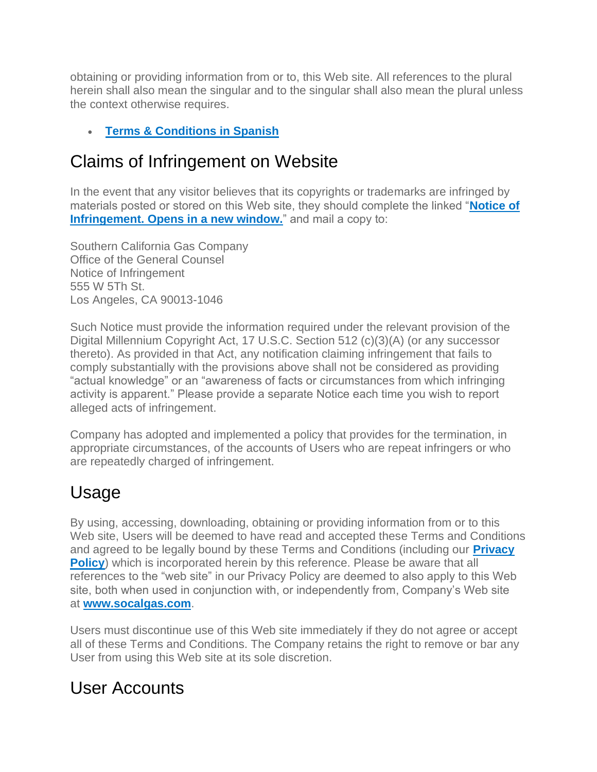obtaining or providing information from or to, this Web site. All references to the plural herein shall also mean the singular and to the singular shall also mean the plural unless the context otherwise requires.

#### • **[Terms & Conditions in Spanish](http://www.socalgas.com/es/terms-and-conditions)**

# Claims of Infringement on Website

In the event that any visitor believes that its copyrights or trademarks are infringed by materials posted or stored on this Web site, they should complete the linked "**[Notice of](http://www.socalgas.com/terms-and-conditions/form.shtml)  [Infringement.](http://www.socalgas.com/terms-and-conditions/form.shtml) Opens in a new window.**" and mail a copy to:

Southern California Gas Company Office of the General Counsel Notice of Infringement 555 W 5Th St. Los Angeles, CA 90013-1046

Such Notice must provide the information required under the relevant provision of the Digital Millennium Copyright Act, 17 U.S.C. Section 512 (c)(3)(A) (or any successor thereto). As provided in that Act, any notification claiming infringement that fails to comply substantially with the provisions above shall not be considered as providing "actual knowledge" or an "awareness of facts or circumstances from which infringing activity is apparent." Please provide a separate Notice each time you wish to report alleged acts of infringement.

Company has adopted and implemented a policy that provides for the termination, in appropriate circumstances, of the accounts of Users who are repeat infringers or who are repeatedly charged of infringement.

# Usage

By using, accessing, downloading, obtaining or providing information from or to this Web site, Users will be deemed to have read and accepted these Terms and Conditions and agreed to be legally bound by these Terms and Conditions (including our **[Privacy](https://www.socalgas.com/privacy-policy)  [Policy](https://www.socalgas.com/privacy-policy)**) which is incorporated herein by this reference. Please be aware that all references to the "web site" in our Privacy Policy are deemed to also apply to this Web site, both when used in conjunction with, or independently from, Company's Web site at **[www.socalgas.com](http://www.socalgas.com/)**.

Users must discontinue use of this Web site immediately if they do not agree or accept all of these Terms and Conditions. The Company retains the right to remove or bar any User from using this Web site at its sole discretion.

### User Accounts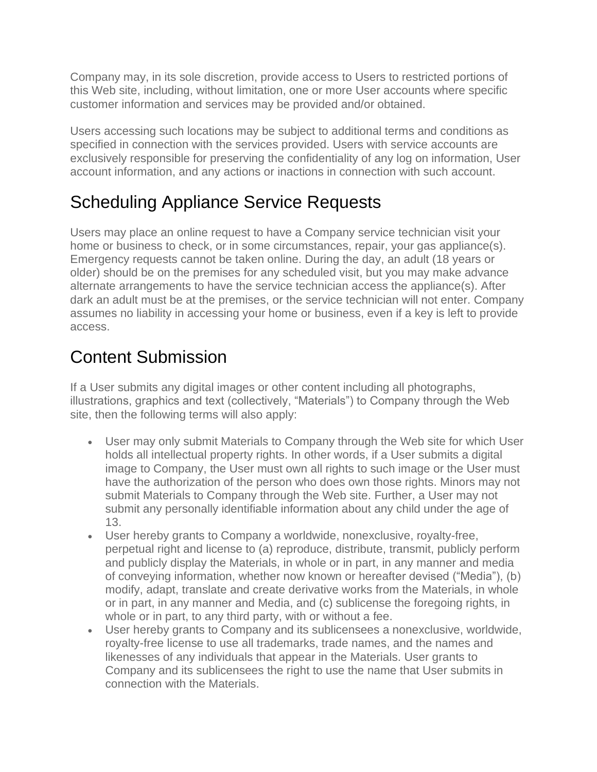Company may, in its sole discretion, provide access to Users to restricted portions of this Web site, including, without limitation, one or more User accounts where specific customer information and services may be provided and/or obtained.

Users accessing such locations may be subject to additional terms and conditions as specified in connection with the services provided. Users with service accounts are exclusively responsible for preserving the confidentiality of any log on information, User account information, and any actions or inactions in connection with such account.

# Scheduling Appliance Service Requests

Users may place an online request to have a Company service technician visit your home or business to check, or in some circumstances, repair, your gas appliance(s). Emergency requests cannot be taken online. During the day, an adult (18 years or older) should be on the premises for any scheduled visit, but you may make advance alternate arrangements to have the service technician access the appliance(s). After dark an adult must be at the premises, or the service technician will not enter. Company assumes no liability in accessing your home or business, even if a key is left to provide access.

# Content Submission

If a User submits any digital images or other content including all photographs, illustrations, graphics and text (collectively, "Materials") to Company through the Web site, then the following terms will also apply:

- User may only submit Materials to Company through the Web site for which User holds all intellectual property rights. In other words, if a User submits a digital image to Company, the User must own all rights to such image or the User must have the authorization of the person who does own those rights. Minors may not submit Materials to Company through the Web site. Further, a User may not submit any personally identifiable information about any child under the age of 13.
- User hereby grants to Company a worldwide, nonexclusive, royalty-free, perpetual right and license to (a) reproduce, distribute, transmit, publicly perform and publicly display the Materials, in whole or in part, in any manner and media of conveying information, whether now known or hereafter devised ("Media"), (b) modify, adapt, translate and create derivative works from the Materials, in whole or in part, in any manner and Media, and (c) sublicense the foregoing rights, in whole or in part, to any third party, with or without a fee.
- User hereby grants to Company and its sublicensees a nonexclusive, worldwide, royalty-free license to use all trademarks, trade names, and the names and likenesses of any individuals that appear in the Materials. User grants to Company and its sublicensees the right to use the name that User submits in connection with the Materials.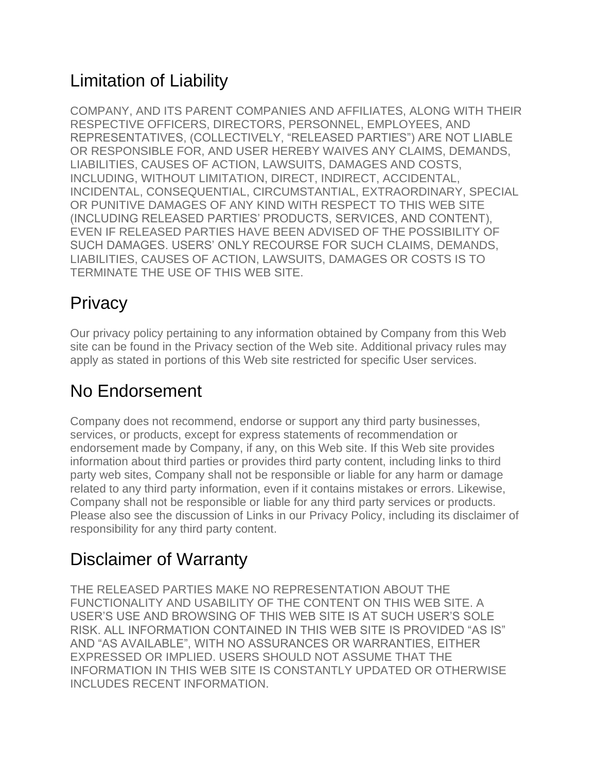# Limitation of Liability

COMPANY, AND ITS PARENT COMPANIES AND AFFILIATES, ALONG WITH THEIR RESPECTIVE OFFICERS, DIRECTORS, PERSONNEL, EMPLOYEES, AND REPRESENTATIVES, (COLLECTIVELY, "RELEASED PARTIES") ARE NOT LIABLE OR RESPONSIBLE FOR, AND USER HEREBY WAIVES ANY CLAIMS, DEMANDS, LIABILITIES, CAUSES OF ACTION, LAWSUITS, DAMAGES AND COSTS, INCLUDING, WITHOUT LIMITATION, DIRECT, INDIRECT, ACCIDENTAL, INCIDENTAL, CONSEQUENTIAL, CIRCUMSTANTIAL, EXTRAORDINARY, SPECIAL OR PUNITIVE DAMAGES OF ANY KIND WITH RESPECT TO THIS WEB SITE (INCLUDING RELEASED PARTIES' PRODUCTS, SERVICES, AND CONTENT), EVEN IF RELEASED PARTIES HAVE BEEN ADVISED OF THE POSSIBILITY OF SUCH DAMAGES. USERS' ONLY RECOURSE FOR SUCH CLAIMS, DEMANDS, LIABILITIES, CAUSES OF ACTION, LAWSUITS, DAMAGES OR COSTS IS TO TERMINATE THE USE OF THIS WEB SITE.

# **Privacy**

Our privacy policy pertaining to any information obtained by Company from this Web site can be found in the Privacy section of the Web site. Additional privacy rules may apply as stated in portions of this Web site restricted for specific User services.

# No Endorsement

Company does not recommend, endorse or support any third party businesses, services, or products, except for express statements of recommendation or endorsement made by Company, if any, on this Web site. If this Web site provides information about third parties or provides third party content, including links to third party web sites, Company shall not be responsible or liable for any harm or damage related to any third party information, even if it contains mistakes or errors. Likewise, Company shall not be responsible or liable for any third party services or products. Please also see the discussion of Links in our Privacy Policy, including its disclaimer of responsibility for any third party content.

# Disclaimer of Warranty

THE RELEASED PARTIES MAKE NO REPRESENTATION ABOUT THE FUNCTIONALITY AND USABILITY OF THE CONTENT ON THIS WEB SITE. A USER'S USE AND BROWSING OF THIS WEB SITE IS AT SUCH USER'S SOLE RISK. ALL INFORMATION CONTAINED IN THIS WEB SITE IS PROVIDED "AS IS" AND "AS AVAILABLE", WITH NO ASSURANCES OR WARRANTIES, EITHER EXPRESSED OR IMPLIED. USERS SHOULD NOT ASSUME THAT THE INFORMATION IN THIS WEB SITE IS CONSTANTLY UPDATED OR OTHERWISE INCLUDES RECENT INFORMATION.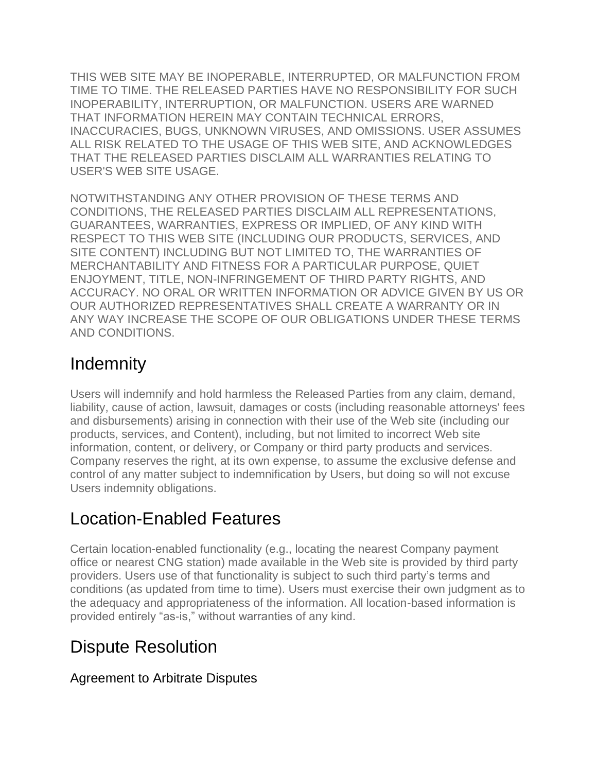THIS WEB SITE MAY BE INOPERABLE, INTERRUPTED, OR MALFUNCTION FROM TIME TO TIME. THE RELEASED PARTIES HAVE NO RESPONSIBILITY FOR SUCH INOPERABILITY, INTERRUPTION, OR MALFUNCTION. USERS ARE WARNED THAT INFORMATION HEREIN MAY CONTAIN TECHNICAL ERRORS, INACCURACIES, BUGS, UNKNOWN VIRUSES, AND OMISSIONS. USER ASSUMES ALL RISK RELATED TO THE USAGE OF THIS WEB SITE, AND ACKNOWLEDGES THAT THE RELEASED PARTIES DISCLAIM ALL WARRANTIES RELATING TO USER'S WEB SITE USAGE.

NOTWITHSTANDING ANY OTHER PROVISION OF THESE TERMS AND CONDITIONS, THE RELEASED PARTIES DISCLAIM ALL REPRESENTATIONS, GUARANTEES, WARRANTIES, EXPRESS OR IMPLIED, OF ANY KIND WITH RESPECT TO THIS WEB SITE (INCLUDING OUR PRODUCTS, SERVICES, AND SITE CONTENT) INCLUDING BUT NOT LIMITED TO, THE WARRANTIES OF MERCHANTABILITY AND FITNESS FOR A PARTICULAR PURPOSE, QUIET ENJOYMENT, TITLE, NON-INFRINGEMENT OF THIRD PARTY RIGHTS, AND ACCURACY. NO ORAL OR WRITTEN INFORMATION OR ADVICE GIVEN BY US OR OUR AUTHORIZED REPRESENTATIVES SHALL CREATE A WARRANTY OR IN ANY WAY INCREASE THE SCOPE OF OUR OBLIGATIONS UNDER THESE TERMS AND CONDITIONS.

### **Indemnity**

Users will indemnify and hold harmless the Released Parties from any claim, demand, liability, cause of action, lawsuit, damages or costs (including reasonable attorneys' fees and disbursements) arising in connection with their use of the Web site (including our products, services, and Content), including, but not limited to incorrect Web site information, content, or delivery, or Company or third party products and services. Company reserves the right, at its own expense, to assume the exclusive defense and control of any matter subject to indemnification by Users, but doing so will not excuse Users indemnity obligations.

### Location-Enabled Features

Certain location-enabled functionality (e.g., locating the nearest Company payment office or nearest CNG station) made available in the Web site is provided by third party providers. Users use of that functionality is subject to such third party's terms and conditions (as updated from time to time). Users must exercise their own judgment as to the adequacy and appropriateness of the information. All location-based information is provided entirely "as-is," without warranties of any kind.

### Dispute Resolution

#### Agreement to Arbitrate Disputes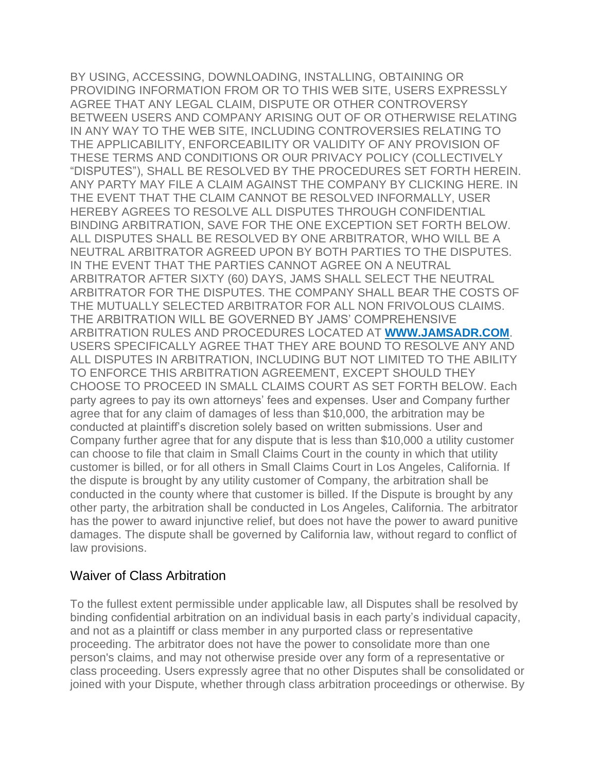BY USING, ACCESSING, DOWNLOADING, INSTALLING, OBTAINING OR PROVIDING INFORMATION FROM OR TO THIS WEB SITE, USERS EXPRESSLY AGREE THAT ANY LEGAL CLAIM, DISPUTE OR OTHER CONTROVERSY BETWEEN USERS AND COMPANY ARISING OUT OF OR OTHERWISE RELATING IN ANY WAY TO THE WEB SITE, INCLUDING CONTROVERSIES RELATING TO THE APPLICABILITY, ENFORCEABILITY OR VALIDITY OF ANY PROVISION OF THESE TERMS AND CONDITIONS OR OUR PRIVACY POLICY (COLLECTIVELY "DISPUTES"), SHALL BE RESOLVED BY THE PROCEDURES SET FORTH HEREIN. ANY PARTY MAY FILE A CLAIM AGAINST THE COMPANY BY CLICKING HERE. IN THE EVENT THAT THE CLAIM CANNOT BE RESOLVED INFORMALLY, USER HEREBY AGREES TO RESOLVE ALL DISPUTES THROUGH CONFIDENTIAL BINDING ARBITRATION, SAVE FOR THE ONE EXCEPTION SET FORTH BELOW. ALL DISPUTES SHALL BE RESOLVED BY ONE ARBITRATOR, WHO WILL BE A NEUTRAL ARBITRATOR AGREED UPON BY BOTH PARTIES TO THE DISPUTES. IN THE EVENT THAT THE PARTIES CANNOT AGREE ON A NEUTRAL ARBITRATOR AFTER SIXTY (60) DAYS, JAMS SHALL SELECT THE NEUTRAL ARBITRATOR FOR THE DISPUTES. THE COMPANY SHALL BEAR THE COSTS OF THE MUTUALLY SELECTED ARBITRATOR FOR ALL NON FRIVOLOUS CLAIMS. THE ARBITRATION WILL BE GOVERNED BY JAMS' COMPREHENSIVE ARBITRATION RULES AND PROCEDURES LOCATED AT **[WWW.JAMSADR.COM](http://www.jamsadr.com/)**. USERS SPECIFICALLY AGREE THAT THEY ARE BOUND TO RESOLVE ANY AND ALL DISPUTES IN ARBITRATION, INCLUDING BUT NOT LIMITED TO THE ABILITY TO ENFORCE THIS ARBITRATION AGREEMENT, EXCEPT SHOULD THEY CHOOSE TO PROCEED IN SMALL CLAIMS COURT AS SET FORTH BELOW. Each party agrees to pay its own attorneys' fees and expenses. User and Company further agree that for any claim of damages of less than \$10,000, the arbitration may be conducted at plaintiff's discretion solely based on written submissions. User and Company further agree that for any dispute that is less than \$10,000 a utility customer can choose to file that claim in Small Claims Court in the county in which that utility customer is billed, or for all others in Small Claims Court in Los Angeles, California. If the dispute is brought by any utility customer of Company, the arbitration shall be conducted in the county where that customer is billed. If the Dispute is brought by any other party, the arbitration shall be conducted in Los Angeles, California. The arbitrator has the power to award injunctive relief, but does not have the power to award punitive damages. The dispute shall be governed by California law, without regard to conflict of law provisions.

#### Waiver of Class Arbitration

To the fullest extent permissible under applicable law, all Disputes shall be resolved by binding confidential arbitration on an individual basis in each party's individual capacity, and not as a plaintiff or class member in any purported class or representative proceeding. The arbitrator does not have the power to consolidate more than one person's claims, and may not otherwise preside over any form of a representative or class proceeding. Users expressly agree that no other Disputes shall be consolidated or joined with your Dispute, whether through class arbitration proceedings or otherwise. By